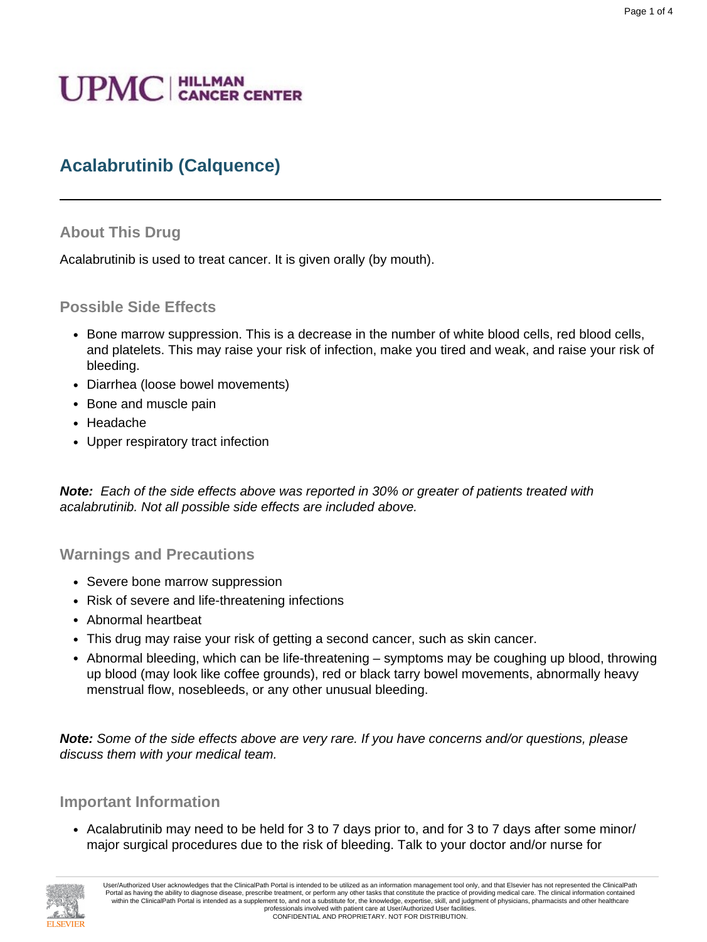# **UPMC** | HILLMAN

# **Acalabrutinib (Calquence)**

#### **About This Drug**

Acalabrutinib is used to treat cancer. It is given orally (by mouth).

#### **Possible Side Effects**

- Bone marrow suppression. This is a decrease in the number of white blood cells, red blood cells, and platelets. This may raise your risk of infection, make you tired and weak, and raise your risk of bleeding.
- Diarrhea (loose bowel movements)
- Bone and muscle pain
- Headache
- Upper respiratory tract infection

**Note:** Each of the side effects above was reported in 30% or greater of patients treated with acalabrutinib. Not all possible side effects are included above.

**Warnings and Precautions**

- Severe bone marrow suppression
- Risk of severe and life-threatening infections
- Abnormal heartbeat
- This drug may raise your risk of getting a second cancer, such as skin cancer.
- Abnormal bleeding, which can be life-threatening symptoms may be coughing up blood, throwing up blood (may look like coffee grounds), red or black tarry bowel movements, abnormally heavy menstrual flow, nosebleeds, or any other unusual bleeding.

**Note:** Some of the side effects above are very rare. If you have concerns and/or questions, please discuss them with your medical team.

#### **Important Information**

• Acalabrutinib may need to be held for 3 to 7 days prior to, and for 3 to 7 days after some minor/ major surgical procedures due to the risk of bleeding. Talk to your doctor and/or nurse for



User/Authorized User acknowledges that the ClinicalPath Portal is intended to be utilized as an information management tool only, and that Elsevier has not represented the ClinicalPath Portal as having the ability to diagnose disease, prescribe treatment, or perform any other tasks that constitute the practice of providing medical care. The clinical information contained within the ClinicalPath Portal is intended as a supplement to, and not a substitute for, the knowledge, expertise, skill, and judgment of physicians, pharmacists and other healthcare professionals involved with patient care at User/Authorized User facilities. CONFIDENTIAL AND PROPRIETARY. NOT FOR DISTRIBUTION.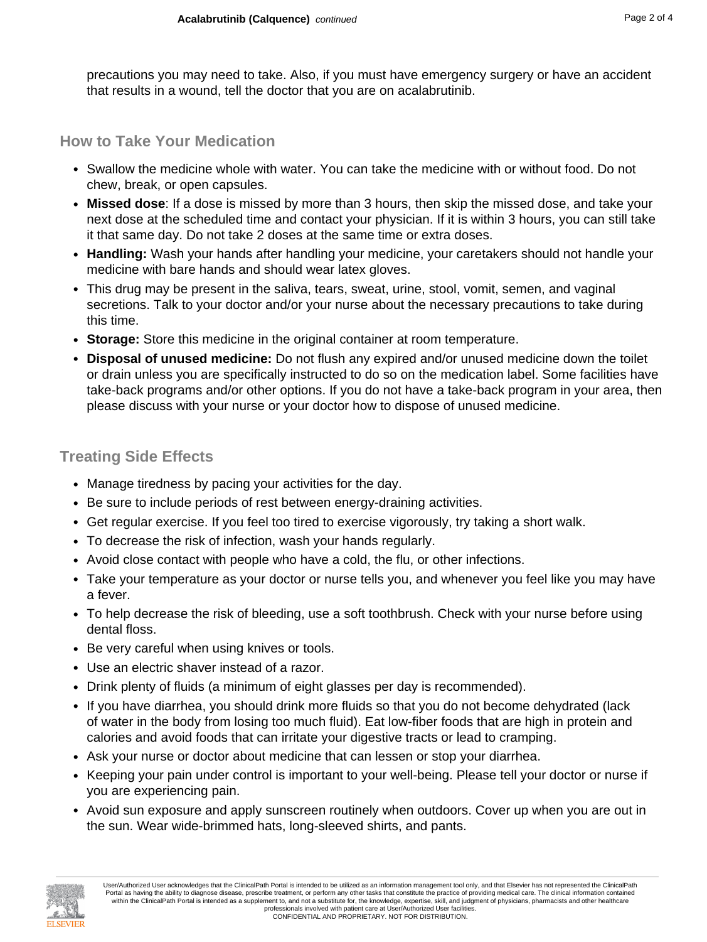precautions you may need to take. Also, if you must have emergency surgery or have an accident that results in a wound, tell the doctor that you are on acalabrutinib.

#### **How to Take Your Medication**

- Swallow the medicine whole with water. You can take the medicine with or without food. Do not chew, break, or open capsules.
- **Missed dose**: If a dose is missed by more than 3 hours, then skip the missed dose, and take your next dose at the scheduled time and contact your physician. If it is within 3 hours, you can still take it that same day. Do not take 2 doses at the same time or extra doses.
- **Handling:** Wash your hands after handling your medicine, your caretakers should not handle your medicine with bare hands and should wear latex gloves.
- This drug may be present in the saliva, tears, sweat, urine, stool, vomit, semen, and vaginal secretions. Talk to your doctor and/or your nurse about the necessary precautions to take during this time.
- **Storage:** Store this medicine in the original container at room temperature.
- **Disposal of unused medicine:** Do not flush any expired and/or unused medicine down the toilet or drain unless you are specifically instructed to do so on the medication label. Some facilities have take-back programs and/or other options. If you do not have a take-back program in your area, then please discuss with your nurse or your doctor how to dispose of unused medicine.

# **Treating Side Effects**

- Manage tiredness by pacing your activities for the day.
- Be sure to include periods of rest between energy-draining activities.
- Get regular exercise. If you feel too tired to exercise vigorously, try taking a short walk.
- To decrease the risk of infection, wash your hands regularly.
- Avoid close contact with people who have a cold, the flu, or other infections.
- Take your temperature as your doctor or nurse tells you, and whenever you feel like you may have a fever.
- To help decrease the risk of bleeding, use a soft toothbrush. Check with your nurse before using dental floss.
- Be very careful when using knives or tools.
- Use an electric shaver instead of a razor.
- Drink plenty of fluids (a minimum of eight glasses per day is recommended).
- If you have diarrhea, you should drink more fluids so that you do not become dehydrated (lack of water in the body from losing too much fluid). Eat low-fiber foods that are high in protein and calories and avoid foods that can irritate your digestive tracts or lead to cramping.
- Ask your nurse or doctor about medicine that can lessen or stop your diarrhea.
- Keeping your pain under control is important to your well-being. Please tell your doctor or nurse if you are experiencing pain.
- Avoid sun exposure and apply sunscreen routinely when outdoors. Cover up when you are out in the sun. Wear wide-brimmed hats, long-sleeved shirts, and pants.

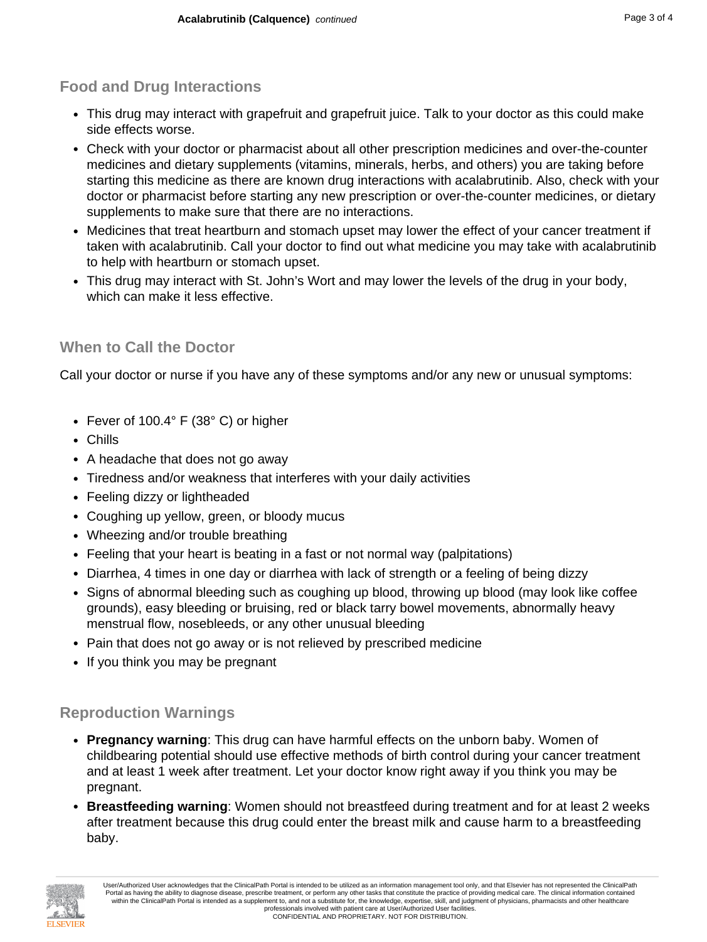## **Food and Drug Interactions**

- This drug may interact with grapefruit and grapefruit juice. Talk to your doctor as this could make side effects worse.
- Check with your doctor or pharmacist about all other prescription medicines and over-the-counter medicines and dietary supplements (vitamins, minerals, herbs, and others) you are taking before starting this medicine as there are known drug interactions with acalabrutinib. Also, check with your doctor or pharmacist before starting any new prescription or over-the-counter medicines, or dietary supplements to make sure that there are no interactions.
- Medicines that treat heartburn and stomach upset may lower the effect of your cancer treatment if taken with acalabrutinib. Call your doctor to find out what medicine you may take with acalabrutinib to help with heartburn or stomach upset.
- This drug may interact with St. John's Wort and may lower the levels of the drug in your body, which can make it less effective.

### **When to Call the Doctor**

Call your doctor or nurse if you have any of these symptoms and/or any new or unusual symptoms:

- Fever of 100.4° F (38° C) or higher
- Chills
- A headache that does not go away
- Tiredness and/or weakness that interferes with your daily activities
- Feeling dizzy or lightheaded
- Coughing up yellow, green, or bloody mucus
- Wheezing and/or trouble breathing
- Feeling that your heart is beating in a fast or not normal way (palpitations)
- Diarrhea, 4 times in one day or diarrhea with lack of strength or a feeling of being dizzy
- Signs of abnormal bleeding such as coughing up blood, throwing up blood (may look like coffee grounds), easy bleeding or bruising, red or black tarry bowel movements, abnormally heavy menstrual flow, nosebleeds, or any other unusual bleeding
- Pain that does not go away or is not relieved by prescribed medicine
- If you think you may be pregnant

#### **Reproduction Warnings**

- **Pregnancy warning**: This drug can have harmful effects on the unborn baby. Women of childbearing potential should use effective methods of birth control during your cancer treatment and at least 1 week after treatment. Let your doctor know right away if you think you may be pregnant.
- **Breastfeeding warning**: Women should not breastfeed during treatment and for at least 2 weeks after treatment because this drug could enter the breast milk and cause harm to a breastfeeding baby.



User/Authorized User acknowledges that the ClinicalPath Portal is intended to be utilized as an information management tool only, and that Elsevier has not represented the ClinicalPath Portal as having the ability to diagnose disease, prescribe treatment, or perform any other tasks that constitute the practice of providing medical care. The clinical information contained within the ClinicalPath Portal is intended as a supplement to, and not a substitute for, the knowledge, expertise, skill, and judgment of physicians, pharmacists and other healthcare professionals involved with patient care at User/Authorized User facilities. CONFIDENTIAL AND PROPRIETARY. NOT FOR DISTRIBUTION.